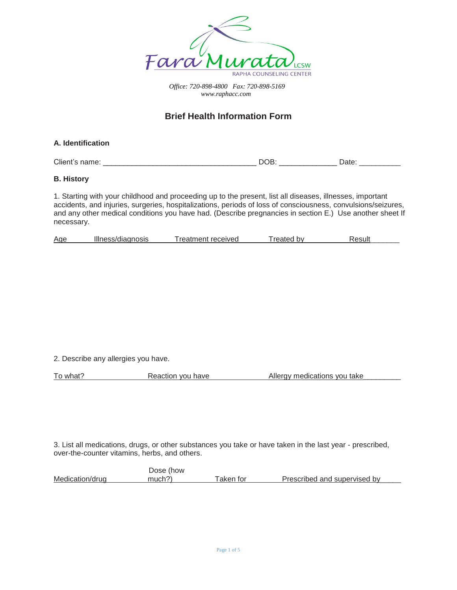

# **Brief Health Information Form**

**A. Identification** 

Client's name: <br>
Client's name: 
BOB: 
DOB: 
DOB: 
DOB: 
DOB: 
DOB: 
DOB: 
DOB: 
DOB: 
DOB: 
DOB: 
DOB: 
DOB: 
DOB: 
DOB: 
DOB: 
DOB: 
DOB: 
DOB: 
DOB: 
DOB: 
DOB: 
DOB: 
DOB: 
DOB: 
DOB: 
DOB: 
DOB: 
DOB: 
DOB: 
DOB: 
DOB

# **B. History**

1. Starting with your childhood and proceeding up to the present, list all diseases, illnesses, important accidents, and injuries, surgeries, hospitalizations, periods of loss of consciousness, convulsions/seizures, and any other medical conditions you have had. (Describe pregnancies in section E.) Use another sheet If necessary.

| Age | Illness/diagnosis | Treatment received | reated by | Result |
|-----|-------------------|--------------------|-----------|--------|
|     |                   |                    |           |        |

2. Describe any allergies you have.

To what? The Reaction you have Allergy medications you take

3. List all medications, drugs, or other substances you take or have taken in the last year - prescribed, over-the-counter vitamins, herbs, and others.

 Dose (how Medication/drug much?) Taken for Prescribed and supervised by Taken for Prescribed and supervised by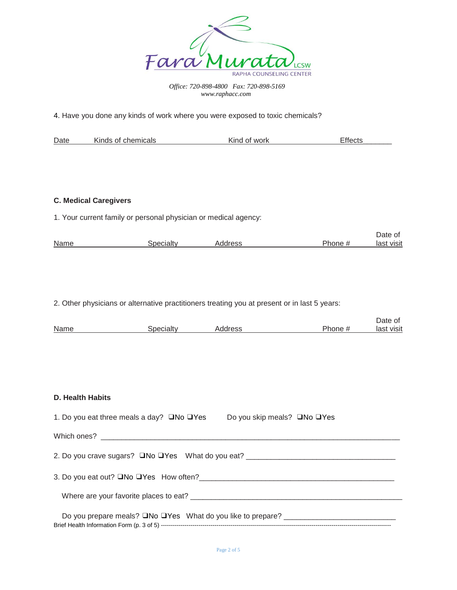

4. Have you done any kinds of work where you were exposed to toxic chemicals?

| Date | chemicals<br>Kinds of I | Kind<br>∵work<br>ΩT | ∙tt∩∩to |
|------|-------------------------|---------------------|---------|
|      |                         |                     |         |

# **C. Medical Caregivers**

1. Your current family or personal physician or medical agency:

|                   |         |        | Date of    |
|-------------------|---------|--------|------------|
| Name<br>Specialtv | Address | Phone: | last visit |

2. Other physicians or alternative practitioners treating you at present or in last 5 years:

|      |        |        |        | Date of       |
|------|--------|--------|--------|---------------|
| Name | - 11 - | ldrocc | Phone, | loot<br>VISIt |

# **D. Health Habits**

| 1. Do you eat three meals a day? $\square$ No $\square$ Yes                      | Do you skip meals? □No □Yes |
|----------------------------------------------------------------------------------|-----------------------------|
|                                                                                  |                             |
| 2. Do you crave sugars? □No □Yes What do you eat? ______________________________ |                             |
|                                                                                  |                             |
|                                                                                  |                             |
|                                                                                  |                             |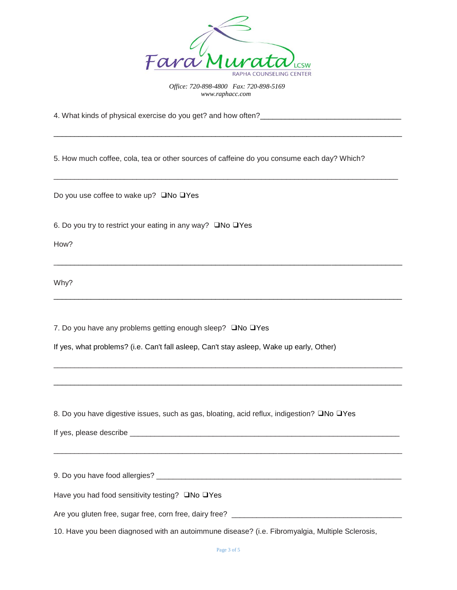

\_\_\_\_\_\_\_\_\_\_\_\_\_\_\_\_\_\_\_\_\_\_\_\_\_\_\_\_\_\_\_\_\_\_\_\_\_\_\_\_\_\_\_\_\_\_\_\_\_\_\_\_\_\_\_\_\_\_\_\_\_\_\_\_\_\_\_\_\_\_\_\_\_\_\_\_\_\_\_\_\_\_\_\_

\_\_\_\_\_\_\_\_\_\_\_\_\_\_\_\_\_\_\_\_\_\_\_\_\_\_\_\_\_\_\_\_\_\_\_\_\_\_\_\_\_\_\_\_\_\_\_\_\_\_\_\_\_\_\_\_\_\_\_\_\_\_\_\_\_\_\_\_\_\_\_\_\_\_\_\_\_\_\_\_\_\_\_

\_\_\_\_\_\_\_\_\_\_\_\_\_\_\_\_\_\_\_\_\_\_\_\_\_\_\_\_\_\_\_\_\_\_\_\_\_\_\_\_\_\_\_\_\_\_\_\_\_\_\_\_\_\_\_\_\_\_\_\_\_\_\_\_\_\_\_\_\_\_\_\_\_\_\_\_\_\_\_\_\_\_\_\_

\_\_\_\_\_\_\_\_\_\_\_\_\_\_\_\_\_\_\_\_\_\_\_\_\_\_\_\_\_\_\_\_\_\_\_\_\_\_\_\_\_\_\_\_\_\_\_\_\_\_\_\_\_\_\_\_\_\_\_\_\_\_\_\_\_\_\_\_\_\_\_\_\_\_\_\_\_\_\_\_\_\_\_\_

\_\_\_\_\_\_\_\_\_\_\_\_\_\_\_\_\_\_\_\_\_\_\_\_\_\_\_\_\_\_\_\_\_\_\_\_\_\_\_\_\_\_\_\_\_\_\_\_\_\_\_\_\_\_\_\_\_\_\_\_\_\_\_\_\_\_\_\_\_\_\_\_\_\_\_\_\_\_\_\_\_\_\_\_

\_\_\_\_\_\_\_\_\_\_\_\_\_\_\_\_\_\_\_\_\_\_\_\_\_\_\_\_\_\_\_\_\_\_\_\_\_\_\_\_\_\_\_\_\_\_\_\_\_\_\_\_\_\_\_\_\_\_\_\_\_\_\_\_\_\_\_\_\_\_\_\_\_\_\_\_\_\_\_\_\_\_\_\_

4. What kinds of physical exercise do you get? and how often?\_\_\_\_\_\_\_\_\_\_\_\_\_\_\_\_\_\_\_\_\_\_\_\_\_\_\_\_\_\_\_\_\_\_

5. How much coffee, cola, tea or other sources of caffeine do you consume each day? Which?

Do you use coffee to wake up? ❑No ❑Yes

6. Do you try to restrict your eating in any way? ❑No ❑Yes

How?

Why?

7. Do you have any problems getting enough sleep? ❑No ❑Yes

If yes, what problems? (i.e. Can't fall asleep, Can't stay asleep, Wake up early, Other)

8. Do you have digestive issues, such as gas, bloating, acid reflux, indigestion? QNo QYes

If yes, please describe  $\blacksquare$ 

9. Do you have food allergies? \_\_\_\_\_\_\_\_\_\_\_\_\_\_\_\_\_\_\_\_\_\_\_\_\_\_\_\_\_\_\_\_\_\_\_\_\_\_\_\_\_\_\_\_\_\_\_\_\_\_\_\_\_\_\_\_\_\_\_

\_\_\_\_\_\_\_\_\_\_\_\_\_\_\_\_\_\_\_\_\_\_\_\_\_\_\_\_\_\_\_\_\_\_\_\_\_\_\_\_\_\_\_\_\_\_\_\_\_\_\_\_\_\_\_\_\_\_\_\_\_\_\_\_\_\_\_\_\_\_\_\_\_\_\_\_\_\_\_\_\_\_\_\_

Have you had food sensitivity testing? ❑No ❑Yes

Are you gluten free, sugar free, corn free, dairy free? \_\_\_\_\_\_\_\_\_\_\_\_\_\_\_\_\_\_\_\_\_\_\_\_\_\_\_\_\_\_\_\_\_\_\_\_\_\_\_\_\_

10. Have you been diagnosed with an autoimmune disease? (i.e. Fibromyalgia, Multiple Sclerosis,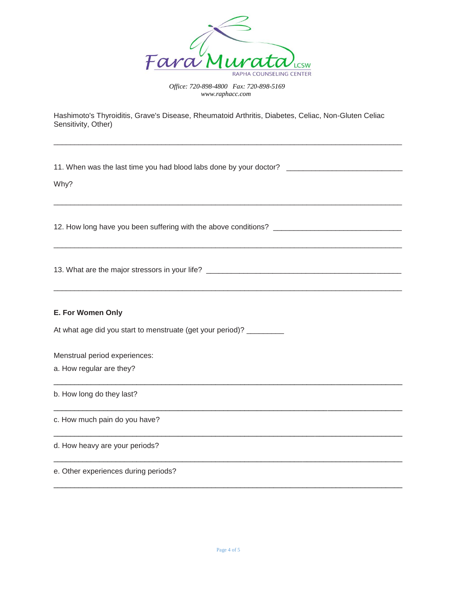

\_\_\_\_\_\_\_\_\_\_\_\_\_\_\_\_\_\_\_\_\_\_\_\_\_\_\_\_\_\_\_\_\_\_\_\_\_\_\_\_\_\_\_\_\_\_\_\_\_\_\_\_\_\_\_\_\_\_\_\_\_\_\_\_\_\_\_\_\_\_\_\_\_\_\_\_\_\_\_\_\_\_\_\_

\_\_\_\_\_\_\_\_\_\_\_\_\_\_\_\_\_\_\_\_\_\_\_\_\_\_\_\_\_\_\_\_\_\_\_\_\_\_\_\_\_\_\_\_\_\_\_\_\_\_\_\_\_\_\_\_\_\_\_\_\_\_\_\_\_\_\_\_\_\_\_\_\_\_\_\_\_\_\_\_\_\_\_\_

\_\_\_\_\_\_\_\_\_\_\_\_\_\_\_\_\_\_\_\_\_\_\_\_\_\_\_\_\_\_\_\_\_\_\_\_\_\_\_\_\_\_\_\_\_\_\_\_\_\_\_\_\_\_\_\_\_\_\_\_\_\_\_\_\_\_\_\_\_\_\_\_\_\_\_\_\_\_\_\_\_\_\_\_

\_\_\_\_\_\_\_\_\_\_\_\_\_\_\_\_\_\_\_\_\_\_\_\_\_\_\_\_\_\_\_\_\_\_\_\_\_\_\_\_\_\_\_\_\_\_\_\_\_\_\_\_\_\_\_\_\_\_\_\_\_\_\_\_\_\_\_\_\_\_\_\_\_\_\_\_\_\_\_\_\_\_\_\_

\_\_\_\_\_\_\_\_\_\_\_\_\_\_\_\_\_\_\_\_\_\_\_\_\_\_\_\_\_\_\_\_\_\_\_\_\_\_\_\_\_\_\_\_\_\_\_\_\_\_\_\_\_\_\_\_\_\_\_\_\_\_\_\_\_\_\_\_\_\_\_\_\_\_\_\_\_\_\_\_\_\_\_\_

\_\_\_\_\_\_\_\_\_\_\_\_\_\_\_\_\_\_\_\_\_\_\_\_\_\_\_\_\_\_\_\_\_\_\_\_\_\_\_\_\_\_\_\_\_\_\_\_\_\_\_\_\_\_\_\_\_\_\_\_\_\_\_\_\_\_\_\_\_\_\_\_\_\_\_\_\_\_\_\_\_\_\_\_

\_\_\_\_\_\_\_\_\_\_\_\_\_\_\_\_\_\_\_\_\_\_\_\_\_\_\_\_\_\_\_\_\_\_\_\_\_\_\_\_\_\_\_\_\_\_\_\_\_\_\_\_\_\_\_\_\_\_\_\_\_\_\_\_\_\_\_\_\_\_\_\_\_\_\_\_\_\_\_\_\_\_\_\_

\_\_\_\_\_\_\_\_\_\_\_\_\_\_\_\_\_\_\_\_\_\_\_\_\_\_\_\_\_\_\_\_\_\_\_\_\_\_\_\_\_\_\_\_\_\_\_\_\_\_\_\_\_\_\_\_\_\_\_\_\_\_\_\_\_\_\_\_\_\_\_\_\_\_\_\_\_\_\_\_\_\_\_\_

\_\_\_\_\_\_\_\_\_\_\_\_\_\_\_\_\_\_\_\_\_\_\_\_\_\_\_\_\_\_\_\_\_\_\_\_\_\_\_\_\_\_\_\_\_\_\_\_\_\_\_\_\_\_\_\_\_\_\_\_\_\_\_\_\_\_\_\_\_\_\_\_\_\_\_\_\_\_\_\_\_\_\_\_

Hashimoto's Thyroiditis, Grave's Disease, Rheumatoid Arthritis, Diabetes, Celiac, Non-Gluten Celiac Sensitivity, Other)

11. When was the last time you had blood labs done by your doctor? \_\_\_\_\_\_\_\_\_\_\_\_\_\_\_\_\_\_\_\_\_\_\_\_\_\_\_\_

Why?

12. How long have you been suffering with the above conditions? \_\_\_\_\_\_\_\_\_\_\_\_\_\_\_\_\_\_\_\_\_\_\_\_\_\_\_\_\_\_\_

13. What are the major stressors in your life? \_\_\_\_\_\_\_\_\_\_\_\_\_\_\_\_\_\_\_\_\_\_\_\_\_\_\_\_\_\_\_\_\_\_\_\_\_\_\_\_\_\_\_\_\_\_\_

#### **E. For Women Only**

At what age did you start to menstruate (get your period)? \_\_\_\_\_\_\_\_\_

Menstrual period experiences:

a. How regular are they?

b. How long do they last?

c. How much pain do you have?

d. How heavy are your periods?

## e. Other experiences during periods?